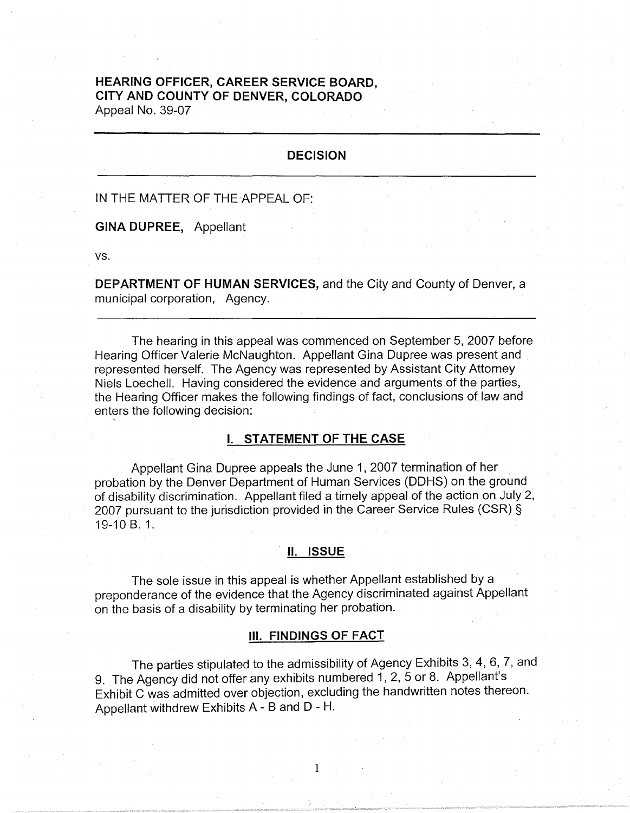# **HEARING OFFICER, CAREER SERVICE BOARD, CITY AND COUNTY OF DENVER, COLORADO**  Appeal No. 39-07

#### **DECISION**

IN THE MATTER OF THE APPEAL OF:

**GINA DUPREE,** Appellant

vs.

**DEPARTMENT OF HUMAN SERVICES,** and the City and County of Denver, a municipal corporation, Agency.

The hearing in this appeal was commenced on September 5, 2007 before Hearing Officer Valerie McNaughton. Appellant Gina Dupree was present and represented herself. The Agency was represented by Assistant City Attorney Niels Loechell. Having considered the evidence and arguments of the parties, the Hearing Officer makes the following findings of fact, conclusions of law and enters the following decision:

## **I. STATEMENT OF THE CASE**

Appellant Gina Dupree appeals the June 1, 2007 termination of her probation by the Denver Department of Human Services (OOHS) on the ground of disability discrimination. Appellant filed a timely appeal of the action on July 2, 2007 pursuant to the jurisdiction provided in the Career Service Rules (CSR) § 19-10 B. 1.

#### II. **ISSUE**

The sole issue in this appeal is whether Appellant established by a preponderance of the evidence that the Agency discriminated against Appellant on the basis of a disability by terminating her probation.

#### Ill. **FINDINGS OF FACT**

The parties stipulated to the admissibility of Agency Exhibits 3, 4, 6, 7, and 9. The Agency did not offer any exhibits numbered 1, 2, 5 or 8. Appellant's Exhibit C was admitted over objection, excluding the handwritten notes thereon. Appellant withdrew Exhibits A - B and D - H.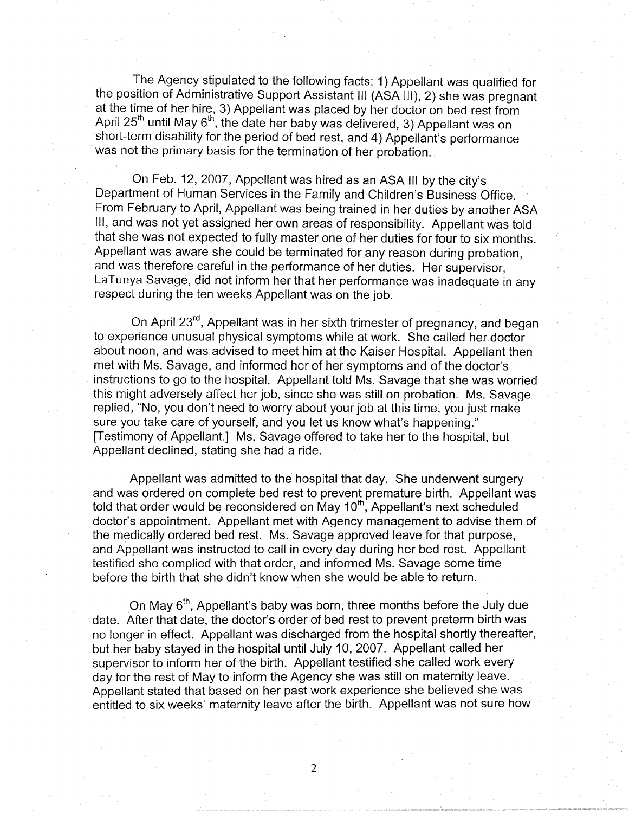The Agency stipulated to the following facts: 1) Appellant was qualified for the position of Administrative Support Assistant Ill (ASA Ill), 2) she was pregnant at the time of her hire, 3) Appellant was placed by her doctor on bed rest from April 25<sup>th</sup> until May 6<sup>th</sup>, the date her baby was delivered, 3) Appellant was on short-term disability for the period of bed rest, and 4) Appellant's performance was not the primary basis for the termination of her probation.

On Feb. 12, 2007, Appellant was hired as an ASA Ill by the city's Department of Human Services in the Family and Children's Business Office. From February to April, Appellant was being trained in her duties by another ASA Ill, and was not yet assigned her own areas of responsibility. Appellant was told that she was not expected to fully master one of her duties for four to six months. Appellant was aware she could be terminated for any reason during probation, and was therefore careful in the performance of her duties. Her supervisor, LaTunya Savage, did not inform her that her performance was inadequate in any respect during the ten weeks Appellant was on the job.

On April 23<sup>rd</sup>, Appellant was in her sixth trimester of pregnancy, and began to experience unusual physical symptoms while at work. She called her doctor about noon, and was advised to meet him at the Kaiser Hospital. Appellant then met with Ms. Savage, and informed her of her symptoms and of the doctor's instructions to go to the hospital. Appellant told Ms. Savage that she was worried this might adversely affect her job, since she was still on probation. Ms. Savage replied, "No, you don't need to worry about your job at this time, you just make sure you take care of yourself, and you let us know what's happening." [Testimony of Appellant.] Ms. Savage offered to take her to the hospital, but Appellant declined, stating she had a ride.

Appellant was admitted to the hospital that day. She underwent surgery and was ordered on complete bed rest to prevent premature birth. Appellant was told that order would be reconsidered on May  $10<sup>th</sup>$ , Appellant's next scheduled doctor's appointment. Appellant met with Agency management to advise them of the medically ordered bed rest. Ms. Savage approved leave for that purpose, and Appellant was instructed to call in every day during her bed rest. Appellant testified she complied with that order, and informed Ms. Savage some time before the birth that she didn't know when she would be able to return.

On May  $6<sup>th</sup>$ , Appellant's baby was born, three months before the July due date. After that date, the doctor's order of bed rest to prevent preterm birth was no longer in effect. Appellant was discharged from the hospital shortly thereafter, but her baby stayed in the hospital until July 10, 2007. Appellant called her supervisor to inform her of the birth. Appellant testified she called work every day for the rest of May to inform the Agency she was still on maternity leave. Appellant stated that based on her past work experience she believed she was entitled to six weeks' maternity leave after the birth. Appellant was not sure how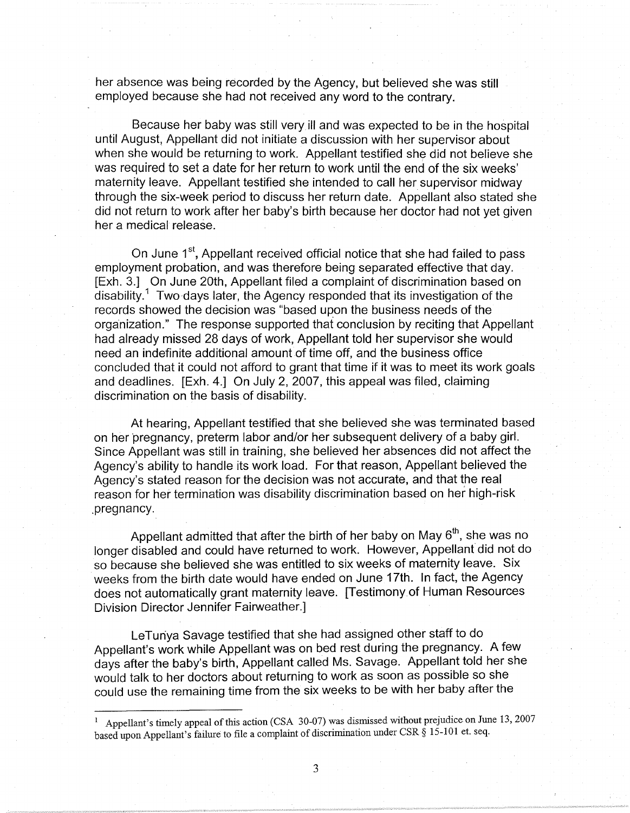her absence was being recorded by the Agency, but believed she was still employed because she had not received any word to the contrary.

Because her baby was still very ill and was expected to be in the hospital until August, Appellant did not initiate a discussion with her supervisor about when she would be returning to work. Appellant testified she did not believe she was required to set a date for her return to work until the end of the six weeks' maternity leave. Appellant testified she intended to call her supervisor midway through the six-week period to discuss her return date. Appellant also stated she did not return to work after her baby's birth because her doctor had not yet given her a medical release.

On June 1<sup>st</sup>, Appellant received official notice that she had failed to pass employment probation, and was therefore being separated effective that day. [Exh. 3.] On June 20th, Appellant filed a complaint of discrimination based on disability.<sup>1</sup> Two days later, the Agency responded that its investigation of the records showed the decision was "based upon the business needs of the organization." The response supported that conclusion by reciting that Appellant had already missed 28 days of work, Appellant told her supervisor she would need an indefinite additional amount of time off, and the business office concluded that it could not afford to grant that time if it was to meet its work goals and deadlines. [Exh. 4.] On July 2, 2007, this appeal was filed, claiming discrimination on the basis of disability.

At hearing, Appellant testified that she believed she was terminated based on her pregnancy, preterm labor and/or her subsequent delivery of a baby girl. Since Appellant was still in training, she believed her absences did not affect the Agency's ability to handle its work load. For that reason, Appellant believed the Agency's stated reason for the decision was not accurate, and that the real reason for her termination was disability discrimination based on her high-risk .pregnancy.

Appellant admitted that after the birth of her baby on May  $6<sup>th</sup>$ , she was no longer disabled and could have returned to work. However, Appellant did not do so because she believed she was entitled to six weeks of maternity leave. Six weeks from the birth date would have ended on June 17th. In fact, the Agency does not automatically grant maternity leave. [Testimony of Human Resources Division Director Jennifer Fairweather.]

LeTuriya Savage testified that she had assigned other staff to do Appellant's work while Appellant was on bed rest during the pregnancy. A few days after the baby's birth, Appellant called Ms. Savage. Appellant told her she would talk to her doctors about returning to work as soon as possible so she could use the remaining time from the six weeks to be with her baby after the

<sup>1</sup> Appellant's timely appeal of this action (CSA 30-07) was dismissed without prejudice on June 13, 2007 based upon Appellant's failure to file a complaint of discrimination under CSR § 15-101 et. seq.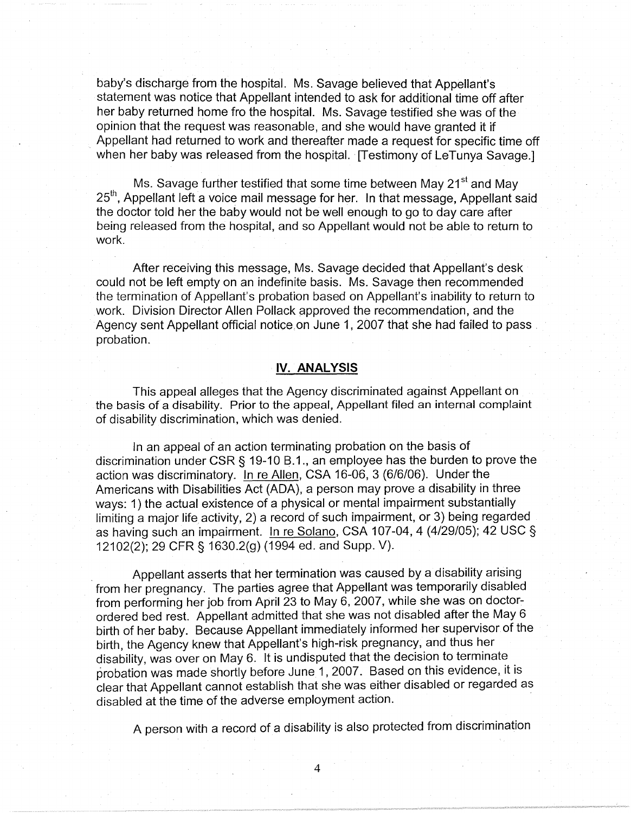baby's discharge from the hospital. Ms. Savage believed that Appellant's statement was notice that Appellant intended to ask for additional time off after her baby returned home fro the hospital. Ms. Savage testified she was of the opinion that the request was reasonable, and she would have granted it if Appellant had returned to work and thereafter made a request for specific time off when her baby was released from the hospital. [Testimony of LeTunya Savage.]

Ms. Savage further testified that some time between May 21<sup>st</sup> and May 25<sup>th</sup>. Appellant left a voice mail message for her. In that message, Appellant said the doctor told her the baby would not be well enough to go to day care after being released from the hospital, and so Appellant would not be able to return to work.

After receiving this message, Ms. Savage decided that Appellant's desk could not be left empty on an indefinite basis. Ms. Savage then recommended the termination of Appellant's probation based on Appellant's inability to return to work. Division Director Allen Pollack approved the recommendation, and the Agency sent Appellant official notice,on June 1, 2007 that she had failed to pass . probation.

#### **IV. ANALYSIS**

This appeal alleges that the Agency discriminated against Appellant on the basis of a disability. Prior to the appeal, Appellant filed an internal complaint of disability discrimination, which was denied.

In an appeal of an action terminating probation on the basis of discrimination under CSR§ 19-10 8.1., an employee has the burden to prove the action was discriminatory. In re Allen, CSA 16-06, 3 (6/6/06). Under the Americans with Disabilities Act (ADA), a person may prove a disability in three ways: 1) the actual existence of a physical or mental impairment substantially limiting a major life activity, 2) a record of such impairment, or 3) being regarded as having such an impairment. In re Solano, CSA 107-04, 4 (4/29/05); 42 USC§ 12102(2); 29 CFR § 1630.2(g) (1994 ed. and Supp. V).

Appellant asserts that her termination was caused by a disability arising from her pregnancy. The parties agree that Appellant was temporarily disabled from performing her job from April 23 to May 6, 2007, while she was on doctorordered bed rest. Appellant admitted that she was not disabled after the May 6 birth of her baby. Because Appellant immediately informed her supervisor of the birth, the Agency knew that Appellant's high-risk pregnancy, and thus her disability, was over on May 6. It is undisputed that the decision to terminate probation was made shortly before June 1, 2007. Based on this evidence, it is clear that Appellant cannot establish that she was either disabled or regarded as disabled at the time of the adverse employment action.

A person with a record of a disability is also protected from discrimination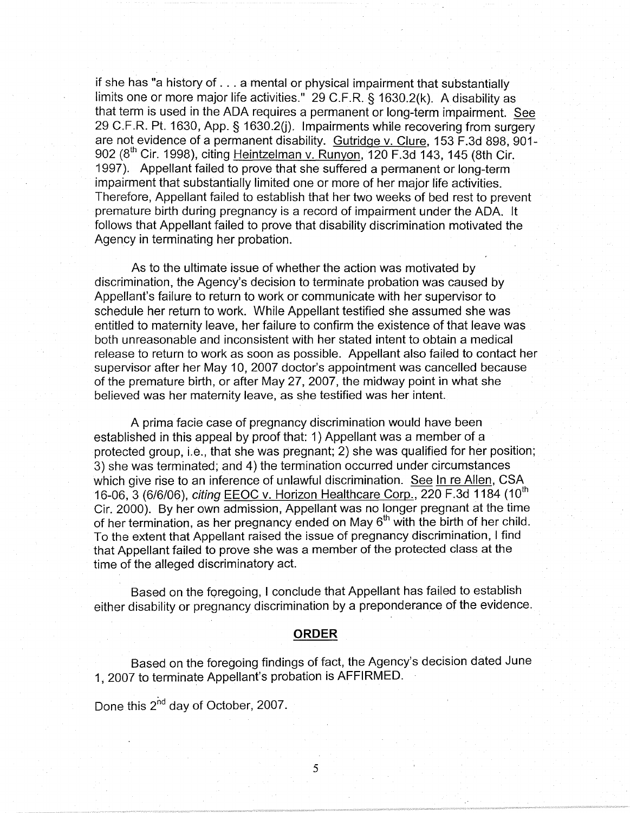if she has "a history of ... a mental or physical impairment that substantially limits one or more major life activities." 29 C.F.R. § 1630.2(k). A disability as that term is used in the ADA requires a permanent or long-term impairment. See 29 C.F.R. Pt. 1630, App. § 1630.2(j). Impairments while recovering from surgery are not evidence of a permanent disability. Gutridge v. Clure, 153 F.3d 898, 901-902 ( $8<sup>th</sup>$  Cir. 1998), citing Heintzelman v. Runyon, 120 F.3d 143, 145 (8th Cir. 1997). Appellant failed to prove that she suffered a permanent or long-term impairment that substantially limited one or more of her major life activities. Therefore, Appellant failed to establish that her two weeks of bed rest to prevent premature birth during pregnancy is a record of impairment under the ADA. It follows that Appellant failed to prove that disability discrimination motivated the Agency in terminating her probation.

As to the ultimate issue of whether the action was motivated by discrimination, the Agency's decision to terminate probation was caused by Appellant's failure to return to work or communicate with her supervisor to schedule her return to work. While Appellant testified she assumed she was entitled to maternity leave, her failure to confirm the existence of that leave was both unreasonable and inconsistent with her stated intent to obtain a medical release to return to work as soon as possible. Appellant also failed to contact her supervisor after her May 10, 2007 doctor's appointment was cancelled because of the premature birth, or after May 27, 2007, the midway point in what she believed was her maternity leave, as she testified was her intent.

A prima facie case of pregnancy discrimination would have been established in this appeal by proof that: 1) Appellant was a member of a protected group, i.e., that she was pregnant; 2) she was qualified for her position; 3) she was terminated; and 4) the termination occurred under circumstances which give rise to an inference of unlawful discrimination. See In re Allen, CSA 16-06, 3 (6/6/06), citing **EEOC v. Horizon Healthcare Corp., 220 F.3d 1184** (10<sup>th</sup> Cir. 2000). By her own admission, Appellant was no longer pregnant at the time of her termination, as her pregnancy ended on May  $6<sup>th</sup>$  with the birth of her child. To the extent that Appellant raised the issue of pregnancy discrimination, I find that Appellant failed to prove she was a member of the protected class at the time of the alleged discriminatory act.

Based on the foregoing, I conclude that Appellant has failed to establish either disability or pregnancy discrimination by a preponderance of the evidence.

#### **ORDER**

Based on the foregoing findings of fact, the Agency's decision dated June 1, 2007 to terminate Appellant's probation is AFFIRMED.

Done this 2<sup>nd</sup> day of October, 2007.